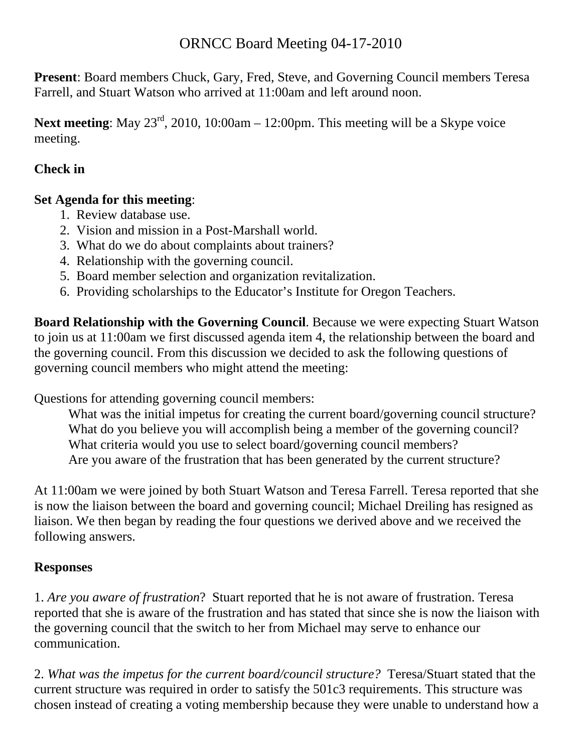# ORNCC Board Meeting 04-17-2010

**Present**: Board members Chuck, Gary, Fred, Steve, and Governing Council members Teresa Farrell, and Stuart Watson who arrived at 11:00am and left around noon.

Next meeting: May 23<sup>rd</sup>, 2010, 10:00am – 12:00pm. This meeting will be a Skype voice meeting.

# **Check in**

### **Set Agenda for this meeting**:

- 1. Review database use.
- 2. Vision and mission in a Post-Marshall world.
- 3. What do we do about complaints about trainers?
- 4. Relationship with the governing council.
- 5. Board member selection and organization revitalization.
- 6. Providing scholarships to the Educator's Institute for Oregon Teachers.

**Board Relationship with the Governing Council**. Because we were expecting Stuart Watson to join us at 11:00am we first discussed agenda item 4, the relationship between the board and the governing council. From this discussion we decided to ask the following questions of governing council members who might attend the meeting:

Questions for attending governing council members:

 What was the initial impetus for creating the current board/governing council structure? What do you believe you will accomplish being a member of the governing council? What criteria would you use to select board/governing council members? Are you aware of the frustration that has been generated by the current structure?

At 11:00am we were joined by both Stuart Watson and Teresa Farrell. Teresa reported that she is now the liaison between the board and governing council; Michael Dreiling has resigned as liaison. We then began by reading the four questions we derived above and we received the following answers.

# **Responses**

1. *Are you aware of frustration*? Stuart reported that he is not aware of frustration. Teresa reported that she is aware of the frustration and has stated that since she is now the liaison with the governing council that the switch to her from Michael may serve to enhance our communication.

2. *What was the impetus for the current board/council structure?* Teresa/Stuart stated that the current structure was required in order to satisfy the 501c3 requirements. This structure was chosen instead of creating a voting membership because they were unable to understand how a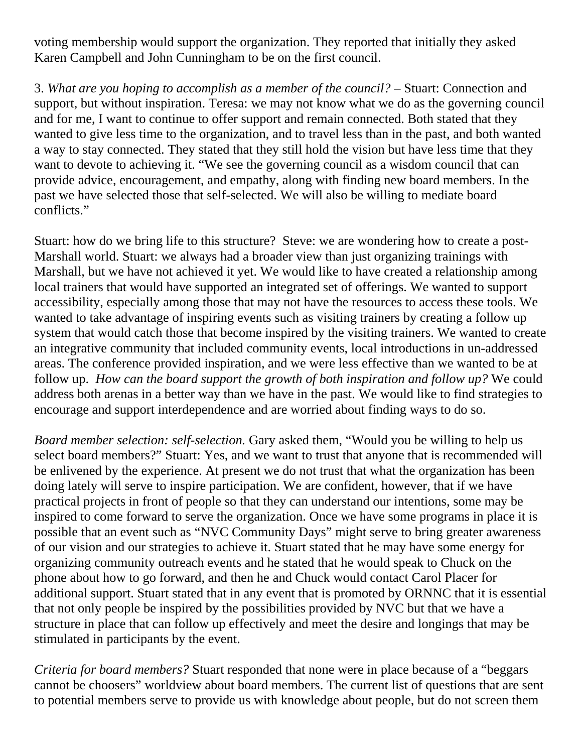voting membership would support the organization. They reported that initially they asked Karen Campbell and John Cunningham to be on the first council.

3. *What are you hoping to accomplish as a member of the council?* – Stuart: Connection and support, but without inspiration. Teresa: we may not know what we do as the governing council and for me, I want to continue to offer support and remain connected. Both stated that they wanted to give less time to the organization, and to travel less than in the past, and both wanted a way to stay connected. They stated that they still hold the vision but have less time that they want to devote to achieving it. "We see the governing council as a wisdom council that can provide advice, encouragement, and empathy, along with finding new board members. In the past we have selected those that self-selected. We will also be willing to mediate board conflicts."

Stuart: how do we bring life to this structure? Steve: we are wondering how to create a post-Marshall world. Stuart: we always had a broader view than just organizing trainings with Marshall, but we have not achieved it yet. We would like to have created a relationship among local trainers that would have supported an integrated set of offerings. We wanted to support accessibility, especially among those that may not have the resources to access these tools. We wanted to take advantage of inspiring events such as visiting trainers by creating a follow up system that would catch those that become inspired by the visiting trainers. We wanted to create an integrative community that included community events, local introductions in un-addressed areas. The conference provided inspiration, and we were less effective than we wanted to be at follow up. *How can the board support the growth of both inspiration and follow up?* We could address both arenas in a better way than we have in the past. We would like to find strategies to encourage and support interdependence and are worried about finding ways to do so.

*Board member selection: self-selection.* Gary asked them, "Would you be willing to help us select board members?" Stuart: Yes, and we want to trust that anyone that is recommended will be enlivened by the experience. At present we do not trust that what the organization has been doing lately will serve to inspire participation. We are confident, however, that if we have practical projects in front of people so that they can understand our intentions, some may be inspired to come forward to serve the organization. Once we have some programs in place it is possible that an event such as "NVC Community Days" might serve to bring greater awareness of our vision and our strategies to achieve it. Stuart stated that he may have some energy for organizing community outreach events and he stated that he would speak to Chuck on the phone about how to go forward, and then he and Chuck would contact Carol Placer for additional support. Stuart stated that in any event that is promoted by ORNNC that it is essential that not only people be inspired by the possibilities provided by NVC but that we have a structure in place that can follow up effectively and meet the desire and longings that may be stimulated in participants by the event.

*Criteria for board members?* Stuart responded that none were in place because of a "beggars cannot be choosers" worldview about board members. The current list of questions that are sent to potential members serve to provide us with knowledge about people, but do not screen them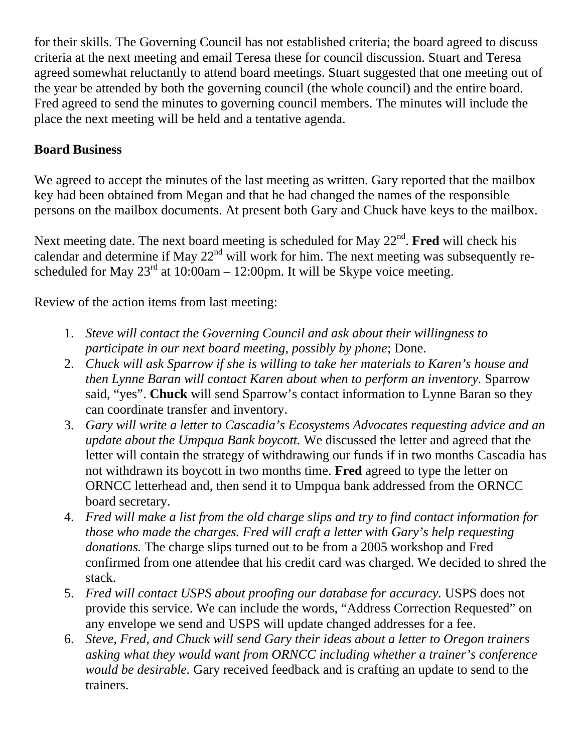for their skills. The Governing Council has not established criteria; the board agreed to discuss criteria at the next meeting and email Teresa these for council discussion. Stuart and Teresa agreed somewhat reluctantly to attend board meetings. Stuart suggested that one meeting out of the year be attended by both the governing council (the whole council) and the entire board. Fred agreed to send the minutes to governing council members. The minutes will include the place the next meeting will be held and a tentative agenda.

## **Board Business**

We agreed to accept the minutes of the last meeting as written. Gary reported that the mailbox key had been obtained from Megan and that he had changed the names of the responsible persons on the mailbox documents. At present both Gary and Chuck have keys to the mailbox.

Next meeting date. The next board meeting is scheduled for May 22<sup>nd</sup>. Fred will check his calendar and determine if May  $22<sup>nd</sup>$  will work for him. The next meeting was subsequently rescheduled for May  $23<sup>rd</sup>$  at 10:00am – 12:00pm. It will be Skype voice meeting.

Review of the action items from last meeting:

- 1. *Steve will contact the Governing Council and ask about their willingness to participate in our next board meeting, possibly by phone*; Done.
- 2. *Chuck will ask Sparrow if she is willing to take her materials to Karen's house and then Lynne Baran will contact Karen about when to perform an inventory.* Sparrow said, "yes". **Chuck** will send Sparrow's contact information to Lynne Baran so they can coordinate transfer and inventory.
- 3. *Gary will write a letter to Cascadia's Ecosystems Advocates requesting advice and an update about the Umpqua Bank boycott.* We discussed the letter and agreed that the letter will contain the strategy of withdrawing our funds if in two months Cascadia has not withdrawn its boycott in two months time. **Fred** agreed to type the letter on ORNCC letterhead and, then send it to Umpqua bank addressed from the ORNCC board secretary.
- 4. *Fred will make a list from the old charge slips and try to find contact information for those who made the charges. Fred will craft a letter with Gary's help requesting donations.* The charge slips turned out to be from a 2005 workshop and Fred confirmed from one attendee that his credit card was charged. We decided to shred the stack.
- 5. *Fred will contact USPS about proofing our database for accuracy.* USPS does not provide this service. We can include the words, "Address Correction Requested" on any envelope we send and USPS will update changed addresses for a fee.
- 6. *Steve, Fred, and Chuck will send Gary their ideas about a letter to Oregon trainers asking what they would want from ORNCC including whether a trainer's conference would be desirable.* Gary received feedback and is crafting an update to send to the trainers.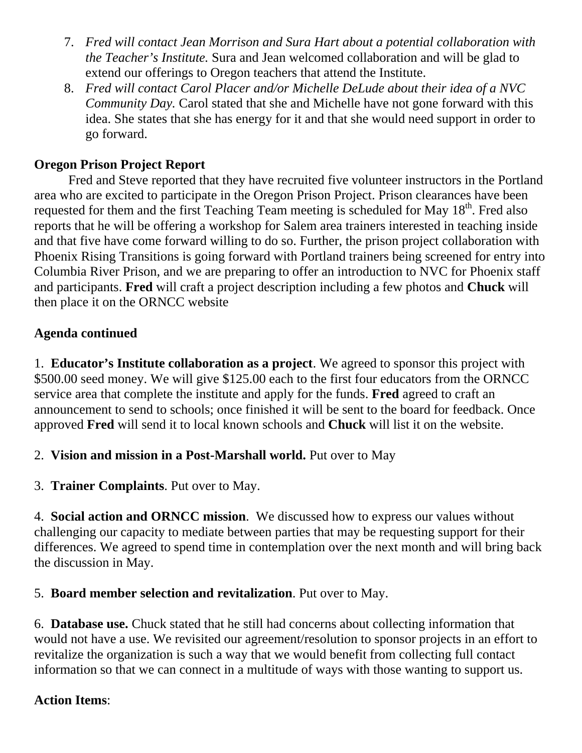- 7. *Fred will contact Jean Morrison and Sura Hart about a potential collaboration with the Teacher's Institute.* Sura and Jean welcomed collaboration and will be glad to extend our offerings to Oregon teachers that attend the Institute.
- 8. *Fred will contact Carol Placer and/or Michelle DeLude about their idea of a NVC Community Day.* Carol stated that she and Michelle have not gone forward with this idea. She states that she has energy for it and that she would need support in order to go forward.

### **Oregon Prison Project Report**

Fred and Steve reported that they have recruited five volunteer instructors in the Portland area who are excited to participate in the Oregon Prison Project. Prison clearances have been requested for them and the first Teaching Team meeting is scheduled for May  $18<sup>th</sup>$ . Fred also reports that he will be offering a workshop for Salem area trainers interested in teaching inside and that five have come forward willing to do so. Further, the prison project collaboration with Phoenix Rising Transitions is going forward with Portland trainers being screened for entry into Columbia River Prison, and we are preparing to offer an introduction to NVC for Phoenix staff and participants. **Fred** will craft a project description including a few photos and **Chuck** will then place it on the ORNCC website

### **Agenda continued**

1. **Educator's Institute collaboration as a project**. We agreed to sponsor this project with \$500.00 seed money. We will give \$125.00 each to the first four educators from the ORNCC service area that complete the institute and apply for the funds. **Fred** agreed to craft an announcement to send to schools; once finished it will be sent to the board for feedback. Once approved **Fred** will send it to local known schools and **Chuck** will list it on the website.

#### 2. **Vision and mission in a Post-Marshall world.** Put over to May

3. **Trainer Complaints**. Put over to May.

4. **Social action and ORNCC mission**. We discussed how to express our values without challenging our capacity to mediate between parties that may be requesting support for their differences. We agreed to spend time in contemplation over the next month and will bring back the discussion in May.

### 5. **Board member selection and revitalization**. Put over to May.

6. **Database use.** Chuck stated that he still had concerns about collecting information that would not have a use. We revisited our agreement/resolution to sponsor projects in an effort to revitalize the organization is such a way that we would benefit from collecting full contact information so that we can connect in a multitude of ways with those wanting to support us.

### **Action Items**: